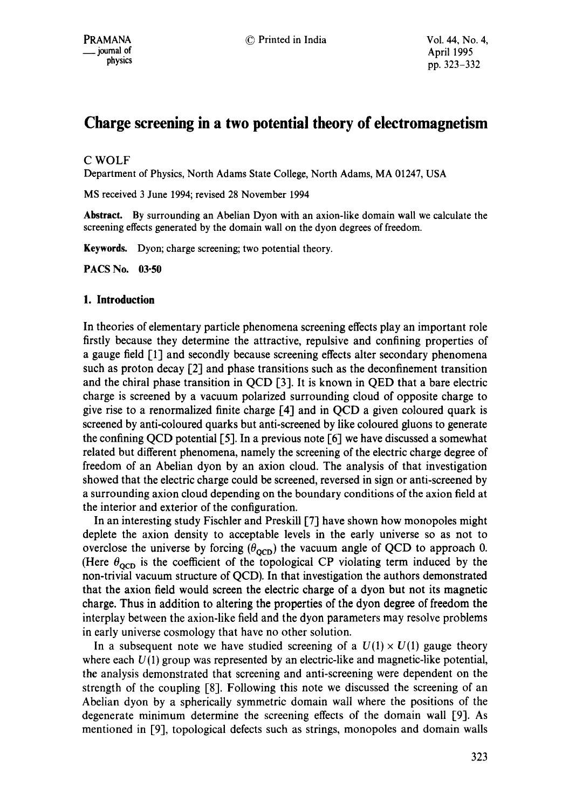# **Charge screening in a two potential theory of electromagnetism**

## C WOLF

Department of Physics, North Adams State College, North Adams, MA 01247, USA

MS received 3 June 1994; revised 28 November 1994

**Abstract.** By surrounding an Abelian Dyon with an axion-like domain wall we calculate the screening effects generated by the domain wall on the dyon degrees of freedom.

Keywards. Dyon; charge screening; two potential theory.

**PACS No. 03-50** 

#### **1. Introduction**

In theories of elementary particle phenomena screening effects play an important role firstly because they determine the attractive, repulsive and confining properties of a gauge field [1] and secondly because screening effects alter secondary phenomena such as proton decay  $\lceil 2 \rceil$  and phase transitions such as the deconfinement transition and the chiral phase transition in QCD  $[3]$ . It is known in QED that a bare electric charge is screened by a vacuum polarized surrounding cloud of opposite charge to give rise to a renormalized finite charge  $[4]$  and in QCD a given coloured quark is screened by anti-coloured quarks but anti-screened by like coloured gluons to generate the confining QCD potential [5]. In a previous note [6] we have discussed a somewhat related but different phenomena, namely the screening of the electric charge degree of freedom of an Abelian dyon by an axion cloud. The analysis of that investigation showed that the electric charge could be screened, reversed in sign or anti-screened by a surrounding axion cloud depending on the boundary conditions of the axion field at the interior and exterior of the configuration.

In an interesting study Fischler and Preskill [7] have shown how monopoles might deplete the axion density to acceptable levels in the early universe so as not to overclose the universe by forcing ( $\theta_{\text{oCD}}$ ) the vacuum angle of QCD to approach 0. (Here  $\theta_{\rm oCD}$  is the coefficient of the topological CP violating term induced by the non-trivial vacuum structure of QCD). In that investigation the authors demonstrated that the axion field would screen the electric charge of a dyon but not its magnetic charge. Thus in addition to altering the properties of the dyon degree of freedom the interplay between the axion-like field and the dyon parameters may resolve problems in early universe cosmology that have no other solution.

In a subsequent note we have studied screening of a  $U(1) \times U(1)$  gauge theory where each  $U(1)$  group was represented by an electric-like and magnetic-like potential, the analysis demonstrated that screening and anti-screening were dependent on the strength of the coupling  $[8]$ . Following this note we discussed the screening of an Abelian dyon by a spherically symmetric domain wall where the positions of the degenerate minimum determine the screening effects of the domain wall [9]. As mentioned in [9], topological defects such as strings, monopoles and domain walls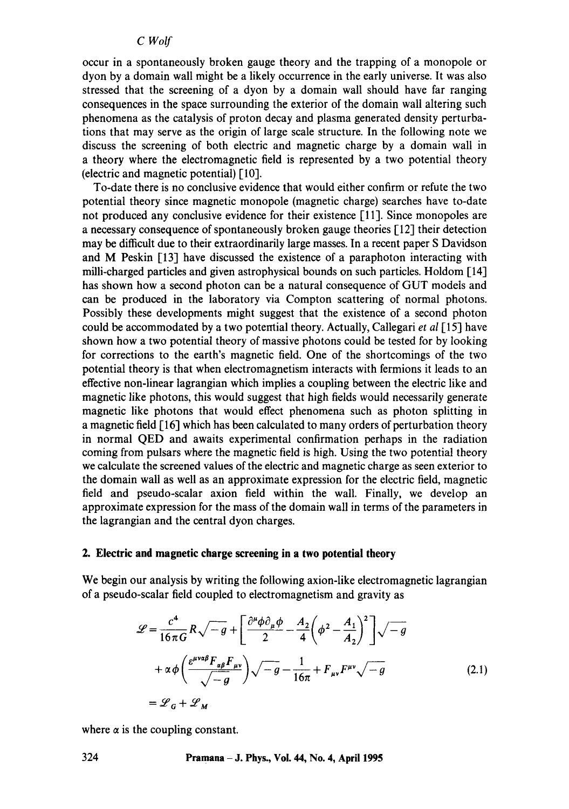occur in a spontaneously broken gauge theory and the trapping of a monopole or dyon by a domain wall might be a likely occurrence in the early universe. It was also stressed that the screening of a dyon by a domain wall should have far ranging consequences in the space surrounding the exterior of the domain wall altering such phenomena as the catalysis of proton decay and plasma generated density perturbations that may serve as the origin of large scale structure. In the following note we discuss the screening of both electric and magnetic charge by a domain wall in a theory where the electromagnetic field is represented by a two potential theory (electric and magnetic potential) [10].

To-date there is no conclusive evidence that would either confirm or refute the two potential theory since magnetic monopole (magnetic charge) searches have to-date not produced any conclusive evidence for their existence [11]. Since monopoles are a necessary consequence of spontaneously broken gauge theories [12] their detection may be difficult due to their extraordinarily large masses. In a recent paper S Davidson and M Peskin  $[13]$  have discussed the existence of a paraphoton interacting with milli-charged particles and given astrophysical bounds on such particles. Holdom [14] has shown how a second photon can be a natural consequence of GUT models and can be produced in the laboratory via Compton scattering of normal photons. Possibly these developments might suggest that the existence of a second photon could be accommodated by a two potential theory. Actually, Callegari *et al* [ 15] have shown how a two potential theory of massive photons could be tested for by looking for corrections to the earth's magnetic field. One of the shortcomings of the two potential theory is that when electromagnetism interacts with fermions it leads to an effective non-linear lagrangian which implies a coupling between the electric like and magnetic like photons, this would suggest that high fields would necessarily generate magnetic like photons that would effect phenomena such as photon splitting in a magnetic field [16] which has been calculated to many orders of perturbation theory in normal QED and awaits experimental confirmation perhaps in the radiation coming from pulsars where the magnetic field is high. Using the two potential theory we calculate the screened values of the electric and magnetic charge as seen exterior to the domain wall as well as an approximate expression for the electric field, magnetic field and pseudo-scalar axion field within the wall. Finally, we develop an approximate expression for the mass of the domain wall in terms of the parameters in the lagrangian and the central dyon charges.

# **2. Electric and magnetic charge screening in a two potential theory**

We begin our analysis by writing the following axion-like electromagnetic lagrangian of a pseudo-scalar field coupled to electromagnetism and gravity as

$$
\mathcal{L} = \frac{c^4}{16\pi G} R \sqrt{-g} + \left[ \frac{\partial^{\mu} \phi \partial_{\mu} \phi}{2} - \frac{A_2}{4} \left( \phi^2 - \frac{A_1}{A_2} \right)^2 \right] \sqrt{-g}
$$
  
+  $\alpha \phi \left( \frac{\varepsilon^{\mu \nu \alpha \beta} F_{\alpha \beta} F_{\mu \nu}}{\sqrt{-g}} \right) \sqrt{-g} - \frac{1}{16\pi} + F_{\mu \nu} F^{\mu \nu} \sqrt{-g}$  (2.1)  
=  $\mathcal{L}_G + \mathcal{L}_M$ 

where  $\alpha$  is the coupling constant.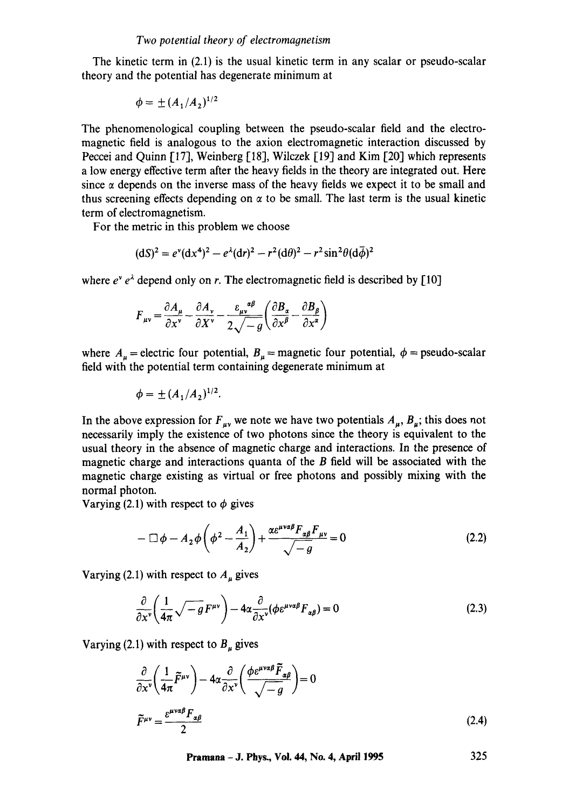The kinetic term in (2.1) is the usual kinetic term in any scalar or pseudo-scalar theory and the potential has degenerate minimum at

$$
\phi = \pm (A_1/A_2)^{1/2}
$$

The phenomenological coupling between the pseudo-scalar field and the electromagnetic field is analogous to the axion electromagnetic interaction discussed by Peccei and Quinn [17], Weinberg [18], Wilczek [19] and Kim [20] which represents a low energy effective term after the heavy fields in the theory are integrated out. Here since  $\alpha$  depends on the inverse mass of the heavy fields we expect it to be small and thus screening effects depending on  $\alpha$  to be small. The last term is the usual kinetic term of electromagnetism.

For the metric in this problem we choose

$$
(\mathrm{d}S)^2 = e^{\nu}(\mathrm{d}x^4)^2 - e^{\lambda}(\mathrm{d}r)^2 - r^2(\mathrm{d}\theta)^2 - r^2\sin^2\theta(\mathrm{d}\overline{\phi})^2
$$

where  $e^{\gamma} e^{\lambda}$  depend only on r. The electromagnetic field is described by [10]

$$
F_{\mu\nu} = \frac{\partial A_{\mu}}{\partial x^{\nu}} - \frac{\partial A_{\nu}}{\partial X^{\nu}} - \frac{\varepsilon_{\mu\nu}^{\alpha\beta}}{2\sqrt{-g}} \left( \frac{\partial B_{\alpha}}{\partial x^{\beta}} - \frac{\partial B_{\beta}}{\partial x^{\alpha}} \right)
$$

where  $A_u$  = electric four potential,  $B_u$  = magnetic four potential,  $\phi$  = pseudo-scalar field with the potential term containing degenerate minimum at

$$
\phi = \pm (A_1/A_2)^{1/2}.
$$

In the above expression for  $F_{uv}$  we note we have two potentials  $A_{u}$ ,  $B_{u}$ ; this does not necessarily imply the existence of two photons since the theory is equivalent to the usual theory in the absence of magnetic charge and interactions. In the presence of magnetic charge and interactions quanta of the B field will be associated with the magnetic charge existing as virtual or free photons and possibly mixing with the normal photon.

Varying (2.1) with respect to  $\phi$  gives

$$
-\Box \phi - A_2 \phi \left(\phi^2 - \frac{A_1}{A_2}\right) + \frac{\alpha \varepsilon^{\mu \nu \alpha \beta} F_{\alpha \beta} F_{\mu \nu}}{\sqrt{-g}} = 0
$$
\n(2.2)

Varying (2.1) with respect to  $A_u$  gives

$$
\frac{\partial}{\partial x^{\nu}} \left( \frac{1}{4\pi} \sqrt{-g} F^{\mu\nu} \right) - 4\alpha \frac{\partial}{\partial x^{\nu}} (\phi \varepsilon^{\mu\nu\alpha\beta} F_{\alpha\beta}) = 0 \tag{2.3}
$$

Varying (2.1) with respect to  $B_{\mu}$  gives

$$
\frac{\partial}{\partial x^{\nu}} \left( \frac{1}{4\pi} \tilde{F}^{\mu\nu} \right) - 4\alpha \frac{\partial}{\partial x^{\nu}} \left( \frac{\phi \varepsilon^{\mu\nu\alpha\beta} \tilde{F}_{\alpha\beta}}{\sqrt{-g}} \right) = 0
$$
\n
$$
\tilde{F}^{\mu\nu} = \frac{\varepsilon^{\mu\nu\alpha\beta} F_{\alpha\beta}}{2} \tag{2.4}
$$

**Pramana - J. Phys., Vol. 44, No. 4, April 1995 325**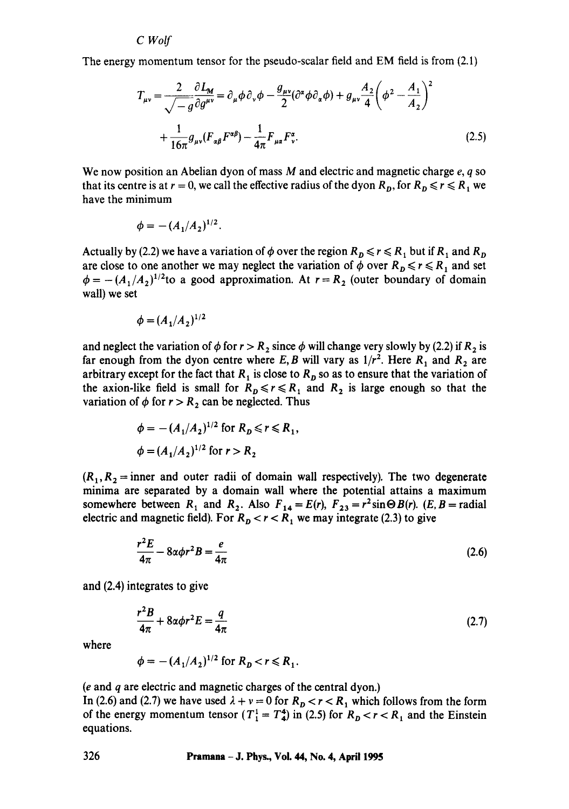The energy momentum tensor for the pseudo-scalar field and EM field is from (2.1)

$$
T_{\mu\nu} = \frac{2}{\sqrt{-g}} \frac{\partial L_M}{\partial g^{\mu\nu}} = \partial_\mu \phi \partial_\nu \phi - \frac{g_{\mu\nu}}{2} (\partial^\alpha \phi \partial_\alpha \phi) + g_{\mu\nu} \frac{A_2}{4} \left( \phi^2 - \frac{A_1}{A_2} \right)^2
$$

$$
+ \frac{1}{16\pi} g_{\mu\nu} (F_{\alpha\beta} F^{\alpha\beta}) - \frac{1}{4\pi} F_{\mu\alpha} F^{\alpha}_{\nu}.
$$
(2.5)

We now position an Abelian dyon of mass  $M$  and electric and magnetic charge  $e, q$  so that its centre is at  $r = 0$ , we call the effective radius of the dyon  $R_p$ , for  $R_p \le r \le R_1$  we have the minimum

$$
\phi = -(A_1/A_2)^{1/2}.
$$

Actually by (2.2) we have a variation of  $\phi$  over the region  $R_p \le r \le R_1$  but if  $R_1$  and  $R_p$ are close to one another we may neglect the variation of  $\phi$  over  $R_p \le r \le R_1$  and set  $\phi = -(A_1/A_2)^{1/2}$ to a good approximation. At  $r=R_2$  (outer boundary of domain wall) we set

$$
\phi = (A_1/A_2)^{1/2}
$$

and neglect the variation of  $\phi$  for  $r > R_2$  since  $\phi$  will change very slowly by (2.2) if  $R_2$  is far enough from the dyon centre where *E*, *B* will vary as  $1/r^2$ . Here  $R_1$  and  $R_2$  are arbitrary except for the fact that  $R_1$  is close to  $R_p$  so as to ensure that the variation of the axion-like field is small for  $R_p \le r \le R_1$  and  $R_2$  is large enough so that the variation of  $\phi$  for  $r > R_2$  can be neglected. Thus

$$
\phi = -(A_1/A_2)^{1/2} \text{ for } R_D \le r \le R_1,
$$
  

$$
\phi = (A_1/A_2)^{1/2} \text{ for } r > R_2
$$

 $(R_1, R_2)$  = inner and outer radii of domain wall respectively). The two degenerate *minima* are separated by a domain wall where the potential attains a maximum somewhere between  $R_1$  and  $R_2$ . Also  $F_{14} = E(r)$ ,  $F_{23} = r^2 \sin \Theta B(r)$ .  $(E, B =$  radial electric and magnetic field). For  $R_p < r < R_1$  we may integrate (2.3) to give

$$
\frac{r^2 E}{4\pi} - 8\alpha \phi r^2 B = \frac{e}{4\pi} \tag{2.6}
$$

and (2.4) integrates to give

$$
\frac{r^2B}{4\pi} + 8\alpha\phi r^2 E = \frac{q}{4\pi} \tag{2.7}
$$

where

$$
\phi = -(A_1/A_2)^{1/2} \text{ for } R_p < r \le R_1.
$$

(e and q are electric and magnetic charges of the central dyon.)

In (2.6) and (2.7) we have used  $\lambda + v = 0$  for  $R_p < r < R_1$  which follows from the form of the energy momentum tensor  $(T_1^1 = T_4^4)$  in (2.5) for  $R_p < r < R_1$  and the Einstein equations.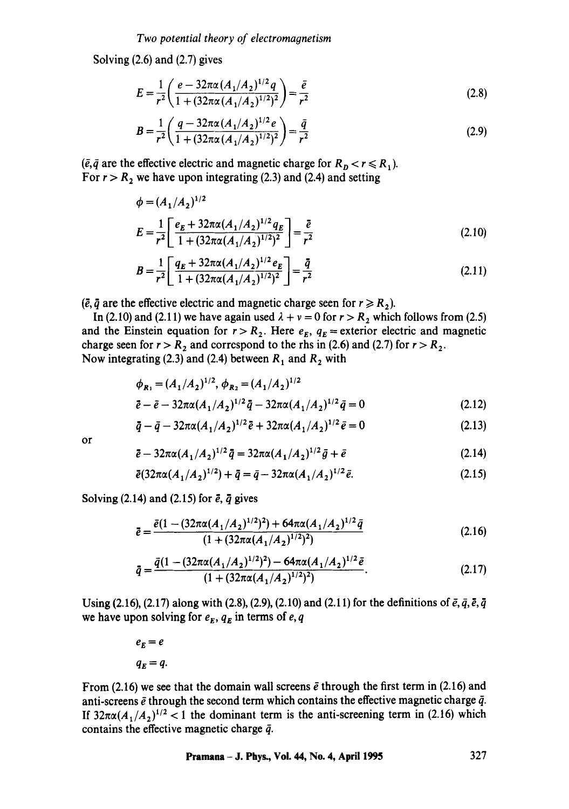Solving (2.6) and (2.7) gives

$$
E = \frac{1}{r^2} \left( \frac{e - 32\pi\alpha (A_1/A_2)^{1/2} q}{1 + (32\pi\alpha (A_1/A_2)^{1/2})^2} \right) = \frac{\bar{e}}{r^2}
$$
(2.8)

$$
B = \frac{1}{r^2} \left( \frac{q - 32\pi\alpha (A_1/A_2)^{1/2} e}{1 + (32\pi\alpha (A_1/A_2)^{1/2})^2} \right) = \frac{\bar{q}}{r^2}
$$
(2.9)

( $\bar{e}, \bar{q}$  are the effective electric and magnetic charge for  $R_p < r \le R_1$ ). For  $r > R<sub>2</sub>$  we have upon integrating (2.3) and (2.4) and setting

$$
\phi = (A_1/A_2)^{1/2}
$$
  
\n
$$
E = \frac{1}{r^2} \left[ \frac{e_E + 32\pi\alpha (A_1/A_2)^{1/2} q_E}{1 + (32\pi\alpha (A_1/A_2)^{1/2})^2} \right] = \frac{\bar{e}}{r^2}
$$
\n(2.10)

$$
B = \frac{1}{r^2} \left[ \frac{q_E + 32\pi\alpha (A_1/A_2)^{1/2} e_E}{1 + (32\pi\alpha (A_1/A_2)^{1/2})^2} \right] = \frac{\bar{q}}{r^2}
$$
 (2.11)

 $({\bar e}, {\bar q}$  are the effective electric and magnetic charge seen for  $r \ge R_2$ ).

In (2.10) and (2.11) we have again used  $\lambda + \nu = 0$  for  $r > R_2$  which follows from (2.5) and the Einstein equation for  $r > R_2$ . Here  $e_E$ ,  $q_E$  = exterior electric and magnetic charge seen for  $r > R_2$  and correspond to the rhs in (2.6) and (2.7) for  $r > R_2$ . Now integrating (2.3) and (2.4) between  $R_1$  and  $R_2$  with

$$
\phi_{R_1} = (A_1/A_2)^{1/2}, \ \phi_{R_2} = (A_1/A_2)^{1/2}
$$
  

$$
\bar{e} - \bar{e} - 32\pi\alpha (A_1/A_2)^{1/2} \bar{q} - 32\pi\alpha (A_1/A_2)^{1/2} \bar{q} = 0
$$
 (2.12)

$$
\bar{q} - \bar{q} - 32\pi\alpha (A_1/A_2)^{1/2} \bar{e} + 32\pi\alpha (A_1/A_2)^{1/2} \bar{e} = 0 \tag{2.13}
$$

or

$$
\bar{e} - 32\pi\alpha (A_1/A_2)^{1/2}\bar{q} = 32\pi\alpha (A_1/A_2)^{1/2}\bar{g} + \bar{e}
$$
 (2.14)

$$
\bar{e}(32\pi\alpha(A_1/A_2)^{1/2}) + \bar{q} = \bar{q} - 32\pi\alpha(A_1/A_2)^{1/2}\bar{e}.
$$
 (2.15)

Solving (2.14) and (2.15) for  $\bar{e}$ ,  $\bar{q}$  gives

$$
\bar{e} = \frac{\bar{e}(1 - (32\pi\alpha(A_1/A_2)^{1/2})^2) + 64\pi\alpha(A_1/A_2)^{1/2}\bar{q}}{(1 + (32\pi\alpha(A_1/A_2)^{1/2})^2)}
$$
(2.16)

$$
\bar{q} = \frac{\bar{q}(1 - (32\pi\alpha(A_1/A_2)^{1/2})^2) - 64\pi\alpha(A_1/A_2)^{1/2}\bar{e}}{(1 + (32\pi\alpha(A_1/A_2)^{1/2})^2)}.
$$
\n(2.17)

Using (2.16), (2.17) along with (2.8), (2.9), (2.10) and (2.11) for the definitions of  $\bar{e}, \bar{q}, \bar{e}, \bar{q}$ we have upon solving for  $e_E, q_E$  in terms of  $e, q$ 

> $e_E = e$  $q_F = q$ .

From (2.16) we see that the domain wall screens  $\bar{e}$  through the first term in (2.16) and anti-screens  $\bar{e}$  through the second term which contains the effective magnetic charge  $\bar{q}$ . If  $32\pi\alpha(A_1/A_2)^{1/2}$  < 1 the dominant term is the anti-screening term in (2.16) which contains the effective magnetic charge  $\bar{q}$ .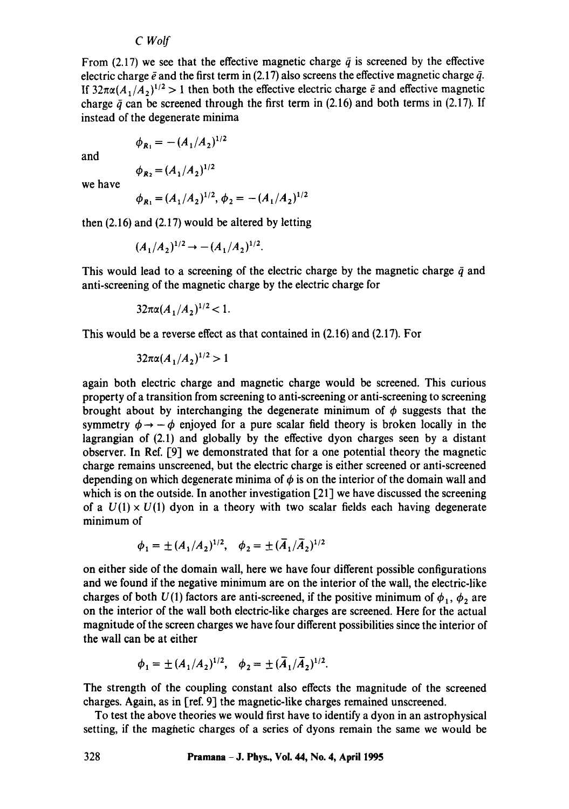From (2.17) we see that the effective magnetic charge  $\bar{q}$  is screened by the effective electric charge  $\bar{e}$  and the first term in (2.17) also screens the effective magnetic charge  $\bar{q}$ . If  $32\pi\alpha(A_1/A_2)^{1/2} > 1$  then both the effective electric charge  $\bar{e}$  and effective magnetic charge  $\bar{q}$  can be screened through the first term in (2.16) and both terms in (2.17). If instead of the degenerate minima

$$
\phi_{R_1} = -(A_1/A_2)^{1/2}
$$

and

$$
\phi_{R_2} = (A_1/A_2)^{1/2}
$$

we have

$$
\phi_{R_1} = (A_1/A_2)^{1/2}, \phi_2 = -(A_1/A_2)^{1/2}
$$

then (2.16) and (2.17) would be altered by letting

$$
(A_1/A_2)^{1/2} \rightarrow -(A_1/A_2)^{1/2}.
$$

This would lead to a screening of the electric charge by the magnetic charge  $\bar{q}$  and anti-screening of the magnetic charge by the electric charge for

$$
32\pi\alpha(A_1/A_2)^{1/2} < 1.
$$

This would be a reverse effect as that contained in (2.16) and (2.17). For

$$
32\pi\alpha(A_1/A_2)^{1/2} > 1
$$

again both electric charge and magnetic charge would be screened. This curious property of a transition from screening to anti-screening or anti-screening to screening brought about by interchanging the degenerate minimum of  $\phi$  suggests that the symmetry  $\phi \rightarrow -\phi$  enjoyed for a pure scalar field theory is broken locally in the lagrangian of (2.1) and globally by the effective dyon charges seen by a distant observer. In Ref. [9] we demonstrated that for a one potential theory the magnetic charge remains unscreened, but the electric charge is either screened or anti-screened depending on which degenerate minima of  $\phi$  is on the interior of the domain wall and which is on the outside. In another investigation [21] we have discussed the screening of a  $U(1) \times U(1)$  dyon in a theory with two scalar fields each having degenerate minimum of

$$
\phi_1 = \pm (A_1/A_2)^{1/2}, \quad \phi_2 = \pm (\overline{A}_1/\overline{A}_2)^{1/2}
$$

on either side of the domain wall, here we have four different possible configurations and we found if the negative minimum are on the interior of the wall, the electric-like charges of both  $U(1)$  factors are anti-screened, if the positive minimum of  $\phi_1$ ,  $\phi_2$  are on the interior of the wall both electric-like charges are screened. Here for the actual magnitude of the screen charges we have four different possibilities since the interior of the wall can be at either

$$
\phi_1 = \pm (A_1/A_2)^{1/2}, \quad \phi_2 = \pm (\overline{A}_1/\overline{A}_2)^{1/2}.
$$

The strength of the coupling constant also effects the magnitude of the screened charges. Again, as in [ref. 9] the magnetic-like charges remained unscreened.

To test the above theories we would first have to identify a dyon in an astrophysical setting, if the maghetic charges of a series of dyons remain the same we would be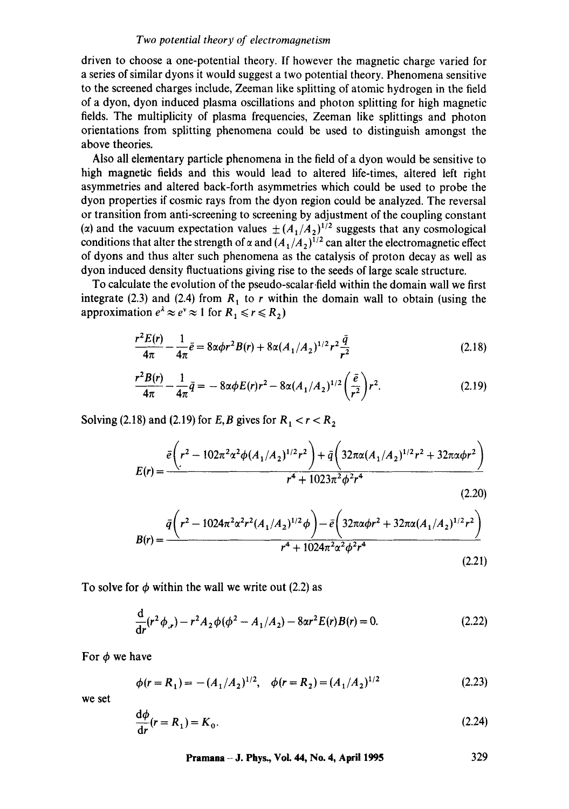# *Two potential theory of electromagnetism*

driven to choose a one-potential theory. If however the magnetic charge varied for a series of similar dyons it would suggest a two potential theory. Phenomena sensitive to the screened charges include, Zeeman like splitting of atomic hydrogen in the field of a dyon, dyon induced plasma oscillations and photon splitting for high magnetic fields. The multiplicity of plasma frequencies, Zeeman like splittings and photon orientations from splitting phenomena could be used to distinguish amongst the above theories.

Also all elementary particle phenomena in the field of a dyon would be sensitive to high magnetic fields and this would lead to altered life-times, altered left right asymmetries and altered back-forth asymmetries which could be used to probe the dyon properties if cosmic rays from the dyon region could be analyzed. The reversal or transition from anti-screening to screening by adjustment of the coupling constant ( $\alpha$ ) and the vacuum expectation values  $\pm (A_1/A_2)^{1/2}$  suggests that any cosmological conditions that alter the strength of  $\alpha$  and  $(A_1/A_2)^{1/2}$  can alter the electromagnetic effect of dyons and thus alter such phenomena as the catalysis of proton decay as well as dyon induced density fluctuations giving rise to the seeds of large scale structure.

To calculate the evolution of the pseudo-scalar.field within the domain wall we first integrate (2.3) and (2.4) from  $R_1$  to r within the domain wall to obtain (using the approximation  $e^{\lambda} \approx e^{\nu} \approx 1$  for  $R_1 \le r \le R_2$ )

$$
\frac{r^2 E(r)}{4\pi} - \frac{1}{4\pi} \bar{e} = 8\alpha \phi r^2 B(r) + 8\alpha (A_1/A_2)^{1/2} r^2 \frac{\bar{q}}{r^2}
$$
 (2.18)

$$
\frac{r^2 B(r)}{4\pi} - \frac{1}{4\pi} \bar{q} = -8\alpha\phi E(r)r^2 - 8\alpha (A_1/A_2)^{1/2} \left(\frac{\bar{e}}{r^2}\right) r^2.
$$
 (2.19)

Solving (2.18) and (2.19) for *E, B* gives for  $R_1 < r < R_2$ 

$$
E(r) = \frac{\bar{e}\left(r^2 - 102\pi^2\alpha^2\phi(A_1/A_2)^{1/2}r^2\right) + \bar{q}\left(32\pi\alpha(A_1/A_2)^{1/2}r^2 + 32\pi\alpha\phi r^2\right)}{r^4 + 1023\pi^2\phi^2r^4}
$$
(2.20)

$$
B(r) = \frac{\bar{q}\left(r^2 - 1024\pi^2\alpha^2r^2(A_1/A_2)^{1/2}\phi\right) - \bar{e}\left(32\pi\alpha\phi r^2 + 32\pi\alpha(A_1/A_2)^{1/2}r^2\right)}{r^4 + 1024\pi^2\alpha^2\phi^2r^4}
$$
\n(2.21)

To solve for  $\phi$  within the wall we write out (2.2) as

$$
\frac{d}{dr}(r^2 \phi_{,r}) - r^2 A_2 \phi (\phi^2 - A_1/A_2) - 8\alpha r^2 E(r)B(r) = 0.
$$
 (2.22)

For  $\phi$  we have

$$
\phi(r = R_1) = -(A_1/A_2)^{1/2}, \quad \phi(r = R_2) = (A_1/A_2)^{1/2}
$$
 (2.23)

we set

$$
\frac{\mathrm{d}\phi}{\mathrm{d}r}(r=R_1)=K_0.\tag{2.24}
$$

**Pramana - J. Phys., Vol. 44, No. 4, April 1995 329**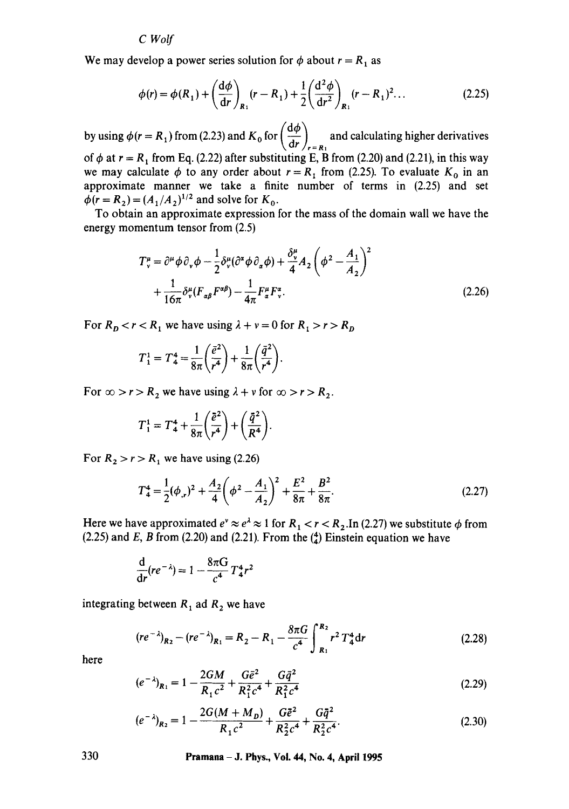We may develop a power series solution for  $\phi$  about  $r = R_1$  as

$$
\phi(r) = \phi(R_1) + \left(\frac{d\phi}{dr}\right)_{R_1} (r - R_1) + \frac{1}{2} \left(\frac{d^2\phi}{dr^2}\right)_{R_1} (r - R_1)^2 \dots
$$
 (2.25)

by using  $\phi(r = R_1)$  from (2.23) and  $K_0$  for  $\left(\frac{d\phi}{dr}\right)_{r=R_1}$  and calculating higher derivatives of  $\phi$  at  $r = R_1$  from Eq. (2.22) after substituting E, B from (2.20) and (2.21), in this way we may calculate  $\phi$  to any order about  $r = R_1$  from (2.25). To evaluate  $K_0$  in an approximate manner we take a finite number of terms in (2.25) and set  $\phi(r = R_2) = (A_1/A_2)^{1/2}$  and solve for  $K_0$ .

To obtain an approximate expression for the mass of the domain wall we have the energy momentum tensor from (2.5)

$$
T_v^{\mu} = \partial^{\mu} \phi \partial_{\nu} \phi - \frac{1}{2} \partial_{\nu}^{\mu} (\partial^{\alpha} \phi \partial_{\alpha} \phi) + \frac{\partial_{\nu}^{\mu}}{4} A_2 \left( \phi^2 - \frac{A_1}{A_2} \right)^2
$$
  
+ 
$$
\frac{1}{16\pi} \partial_{\nu}^{\mu} (F_{\alpha\beta} F^{\alpha\beta}) - \frac{1}{4\pi} F_{\alpha}^{\mu} F_{\nu}^{\alpha}.
$$
 (2.26)

For  $R_p < r < R_1$  we have using  $\lambda + v = 0$  for  $R_1 > r > R_p$ 

$$
T_1^1 = T_4^4 = \frac{1}{8\pi} \left(\frac{\bar{e}^2}{r^4}\right) + \frac{1}{8\pi} \left(\frac{\bar{q}^2}{r^4}\right).
$$

For  $\infty > r > R_2$  we have using  $\lambda + v$  for  $\infty > r > R_2$ .

$$
T_1^1 = T_4^4 + \frac{1}{8\pi} \left(\frac{\tilde{e}^2}{r^4}\right) + \left(\frac{\tilde{q}^2}{R^4}\right).
$$

For  $R_2 > r > R_1$  we have using (2.26)

$$
T_4^4 = \frac{1}{2}(\phi_{,r})^2 + \frac{A_2}{4}\left(\phi^2 - \frac{A_1}{A_2}\right)^2 + \frac{E^2}{8\pi} + \frac{B^2}{8\pi}.
$$
 (2.27)

Here we have approximated  $e^v \approx e^{\lambda} \approx 1$  for  $R_1 < r < R_2$ . In (2.27) we substitute  $\phi$  from  $(2.25)$  and E, B from  $(2.20)$  and  $(2.21)$ . From the  $\binom{4}{4}$  Einstein equation we have

$$
\frac{d}{dr}(re^{-\lambda}) = 1 - \frac{8\pi G}{c^4}T_4^4r^2
$$

integrating between  $R_1$  ad  $R_2$  we have

$$
(re^{-\lambda})_{R_2} - (re^{-\lambda})_{R_1} = R_2 - R_1 - \frac{8\pi G}{c^4} \int_{R_1}^{R_2} r^2 T_4^4 dr \qquad (2.28)
$$

here

$$
(e^{-\lambda})_{R_1} = 1 - \frac{2GM}{R_1c^2} + \frac{G\bar{e}^2}{R_1^2c^4} + \frac{G\bar{q}^2}{R_1^2c^4}
$$
 (2.29)

$$
(e^{-\lambda})_{R_2} = 1 - \frac{2G(M + M_D)}{R_1 c^2} + \frac{G\bar{e}^2}{R_2^2 c^4} + \frac{G\bar{q}^2}{R_2^2 c^4}.
$$
 (2.30)

**330 Pramana - J. Phys., Vol. 44, No. 4, April 1995**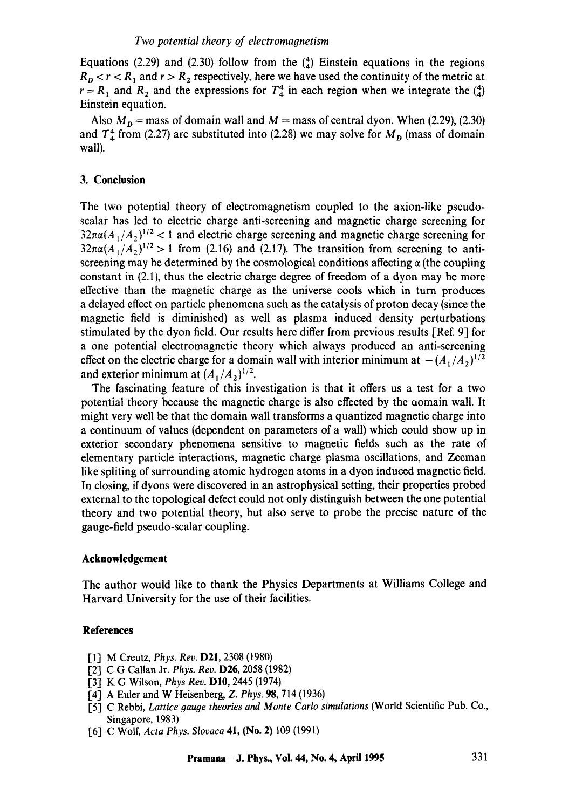Equations (2.29) and (2.30) follow from the  $\binom{4}{4}$  Einstein equations in the regions  $R<sub>p</sub> < r < R<sub>1</sub>$  and  $r > R<sub>2</sub>$  respectively, here we have used the continuity of the metric at  $r = R_1$  and  $R_2$  and the expressions for  $T_4^4$  in each region when we integrate the  $\binom{4}{4}$ Einstein equation.

Also  $M<sub>D</sub>$  = mass of domain wall and  $M$  = mass of central dyon. When (2.29), (2.30) and  $T_4^4$  from (2.27) are substituted into (2.28) we may solve for  $M_p$  (mass of domain wall).

## **3. Conclusion**

The two potential theory of electromagnetism coupled to the axion-like pseudoscalar has led to electric charge anti-screening and magnetic charge screening for  $32\pi\alpha(A_1/A_2)^{1/2}$  < 1 and electric charge screening and magnetic charge screening for  $32\pi\alpha(A_1/A_2)^{1/2} > 1$  from (2.16) and (2.17). The transition from screening to antiscreening may be determined by the cosmological conditions affecting  $\alpha$  (the coupling constant in (2.1), thus the electric charge degree of freedom of a dyon may be more effective than the magnetic charge as the universe cools which in turn produces a delayed effect on particle phenomena such as the catalysis of proton decay (since the magnetic field is diminished) as well as plasma induced density perturbations stimulated by the dyon field. Our results here differ from previous results [Ref. 9] for a one potential electromagnetic theory which always produced an anti-screening effect on the electric charge for a domain wall with interior minimum at  $-(A_1/A_2)^{1/2}$ and exterior minimum at  $(A_1/A_2)^{1/2}$ .

The fascinating feature of this investigation is that it offers us a test for a two potential theory because the magnetic charge is also effected by the oomain wall. It might very well be that the domain wall transforms a quantized magnetic charge into a continuum of values (dependent on parameters of a wall) which could show up in exterior secondary phenomena sensitive to magnetic fields such as the rate of elementary particle interactions, magnetic charge plasma oscillations, and Zeeman like spliting of surrounding atomic hydrogen atoms in a dyon induced magnetic field. In closing, if dyons were discovered in an astrophysical setting, their properties probed external to the topological defect could not only distinguish between the one potential theory and two potential theory, but also serve to probe the precise nature of the gauge-field pseudo-scalar coupling.

#### **Acknowledgement**

The author would like to thank the Physics Departments at Williams College and Harvard University for the use of their facilities.

## **References**

- [1] M Creutz, *Phys. Rev.* D21, 2308 (1980)
- [2] C G Callan Jr. *Phys. Rev.* D26, 2058 (1982)
- [3] K G Wilson, *Phys Rev.* D10, 2445 (1974)
- [4] A Euler and W Heisenberg, *Z. Phys.* 98, 714 (1936)
- [5] C Rebbi, *Lattice gauge theories and Monte Carlo simulations* (World Scientific Pub. Co., Singapore, 1983)
- I-6] C Wolf, *Acta Phys. Slovaca* 41, (No. 2) 109 (1991)